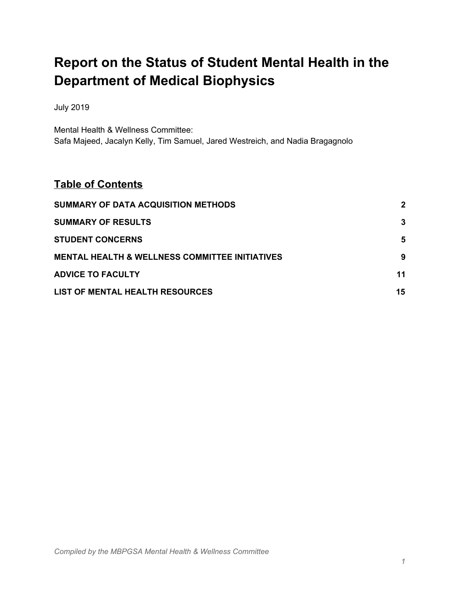# **Report on the Status of Student Mental Health in the Department of Medical Biophysics**

July 2019

Mental Health & Wellness Committee: Safa Majeed, Jacalyn Kelly, Tim Samuel, Jared Westreich, and Nadia Bragagnolo

## **Table of Contents**

| SUMMARY OF DATA ACQUISITION METHODS                       | $\mathbf{2}$ |
|-----------------------------------------------------------|--------------|
| <b>SUMMARY OF RESULTS</b>                                 | 3            |
| <b>STUDENT CONCERNS</b>                                   | 5            |
| <b>MENTAL HEALTH &amp; WELLNESS COMMITTEE INITIATIVES</b> | 9            |
| <b>ADVICE TO FACULTY</b>                                  | 11           |
| LIST OF MENTAL HEALTH RESOURCES                           | 15           |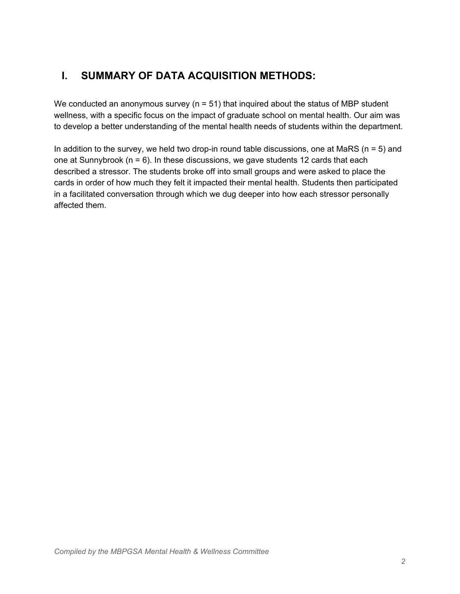## <span id="page-1-0"></span>**I. SUMMARY OF DATA ACQUISITION METHODS:**

We conducted an anonymous survey ( $n = 51$ ) that inquired about the status of MBP student wellness, with a specific focus on the impact of graduate school on mental health. Our aim was to develop a better understanding of the mental health needs of students within the department.

In addition to the survey, we held two drop-in round table discussions, one at MaRS ( $n = 5$ ) and one at Sunnybrook ( $n = 6$ ). In these discussions, we gave students 12 cards that each described a stressor. The students broke off into small groups and were asked to place the cards in order of how much they felt it impacted their mental health. Students then participated in a facilitated conversation through which we dug deeper into how each stressor personally affected them.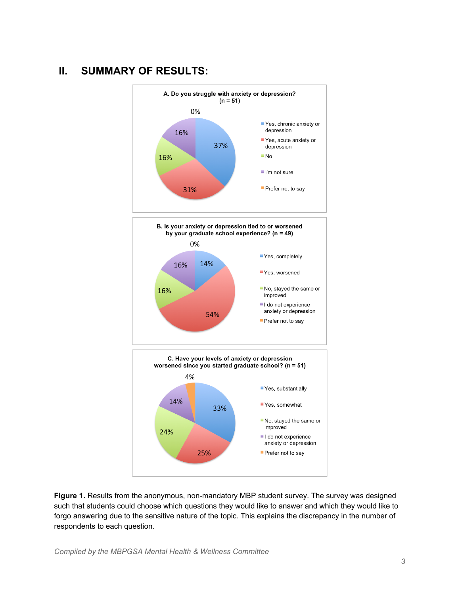## <span id="page-2-0"></span>**II. SUMMARY OF RESULTS:**



**Figure 1.** Results from the anonymous, non-mandatory MBP student survey. The survey was designed such that students could choose which questions they would like to answer and which they would like to forgo answering due to the sensitive nature of the topic. This explains the discrepancy in the number of respondents to each question.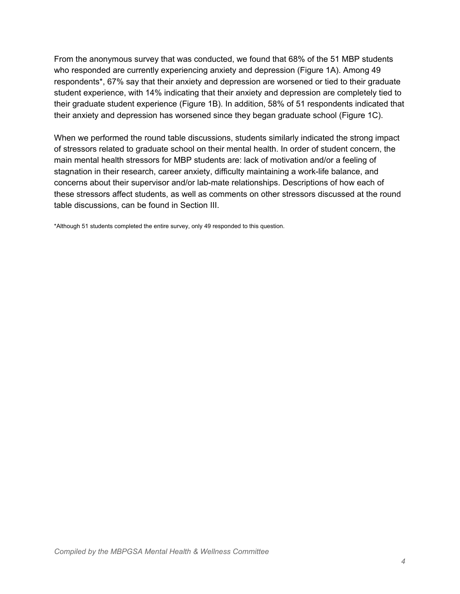From the anonymous survey that was conducted, we found that 68% of the 51 MBP students who responded are currently experiencing anxiety and depression (Figure 1A). Among 49 respondents\*, 67% say that their anxiety and depression are worsened or tied to their graduate student experience, with 14% indicating that their anxiety and depression are completely tied to their graduate student experience (Figure 1B). In addition, 58% of 51 respondents indicated that their anxiety and depression has worsened since they began graduate school (Figure 1C).

When we performed the round table discussions, students similarly indicated the strong impact of stressors related to graduate school on their mental health. In order of student concern, the main mental health stressors for MBP students are: lack of motivation and/or a feeling of stagnation in their research, career anxiety, difficulty maintaining a work-life balance, and concerns about their supervisor and/or lab-mate relationships. Descriptions of how each of these stressors affect students, as well as comments on other stressors discussed at the round table discussions, can be found in Section III.

<span id="page-3-0"></span>\*Although 51 students completed the entire survey, only 49 responded to this question.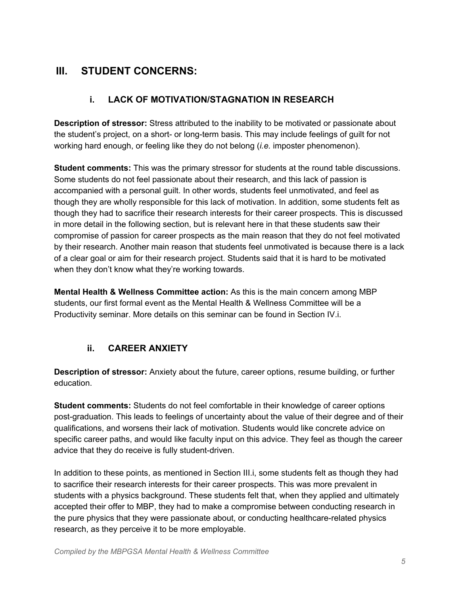## **III. STUDENT CONCERNS:**

#### **i. LACK OF MOTIVATION/STAGNATION IN RESEARCH**

**Description of stressor:** Stress attributed to the inability to be motivated or passionate about the student's project, on a short- or long-term basis. This may include feelings of guilt for not working hard enough, or feeling like they do not belong (*i.e.* imposter phenomenon).

**Student comments:** This was the primary stressor for students at the round table discussions. Some students do not feel passionate about their research, and this lack of passion is accompanied with a personal guilt. In other words, students feel unmotivated, and feel as though they are wholly responsible for this lack of motivation. In addition, some students felt as though they had to sacrifice their research interests for their career prospects. This is discussed in more detail in the following section, but is relevant here in that these students saw their compromise of passion for career prospects as the main reason that they do not feel motivated by their research. Another main reason that students feel unmotivated is because there is a lack of a clear goal or aim for their research project. Students said that it is hard to be motivated when they don't know what they're working towards.

**Mental Health & Wellness Committee action:** As this is the main concern among MBP students, our first formal event as the Mental Health & Wellness Committee will be a Productivity seminar. More details on this seminar can be found in Section IV.i.

#### **ii. CAREER ANXIETY**

**Description of stressor:** Anxiety about the future, career options, resume building, or further education.

**Student comments:** Students do not feel comfortable in their knowledge of career options post-graduation. This leads to feelings of uncertainty about the value of their degree and of their qualifications, and worsens their lack of motivation. Students would like concrete advice on specific career paths, and would like faculty input on this advice. They feel as though the career advice that they do receive is fully student-driven.

In addition to these points, as mentioned in Section III.i, some students felt as though they had to sacrifice their research interests for their career prospects. This was more prevalent in students with a physics background. These students felt that, when they applied and ultimately accepted their offer to MBP, they had to make a compromise between conducting research in the pure physics that they were passionate about, or conducting healthcare-related physics research, as they perceive it to be more employable.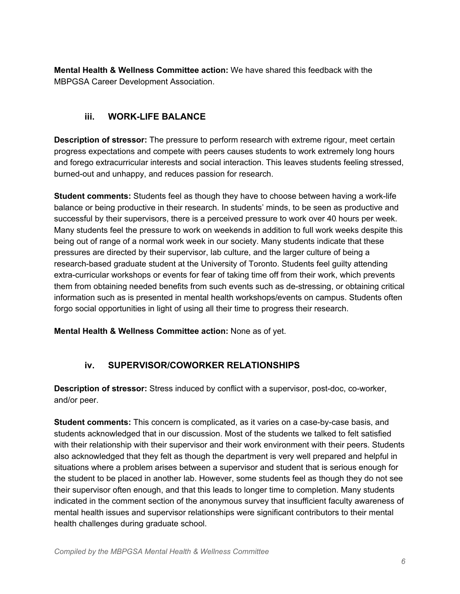**Mental Health & Wellness Committee action:** We have shared this feedback with the MBPGSA Career Development Association.

#### **iii. WORK-LIFE BALANCE**

**Description of stressor:** The pressure to perform research with extreme rigour, meet certain progress expectations and compete with peers causes students to work extremely long hours and forego extracurricular interests and social interaction. This leaves students feeling stressed, burned-out and unhappy, and reduces passion for research.

**Student comments:** Students feel as though they have to choose between having a work-life balance or being productive in their research. In students' minds, to be seen as productive and successful by their supervisors, there is a perceived pressure to work over 40 hours per week. Many students feel the pressure to work on weekends in addition to full work weeks despite this being out of range of a normal work week in our society. Many students indicate that these pressures are directed by their supervisor, lab culture, and the larger culture of being a research-based graduate student at the University of Toronto. Students feel guilty attending extra-curricular workshops or events for fear of taking time off from their work, which prevents them from obtaining needed benefits from such events such as de-stressing, or obtaining critical information such as is presented in mental health workshops/events on campus. Students often forgo social opportunities in light of using all their time to progress their research.

**Mental Health & Wellness Committee action:** None as of yet.

#### **iv. SUPERVISOR/COWORKER RELATIONSHIPS**

**Description of stressor:** Stress induced by conflict with a supervisor, post-doc, co-worker, and/or peer.

**Student comments:** This concern is complicated, as it varies on a case-by-case basis, and students acknowledged that in our discussion. Most of the students we talked to felt satisfied with their relationship with their supervisor and their work environment with their peers. Students also acknowledged that they felt as though the department is very well prepared and helpful in situations where a problem arises between a supervisor and student that is serious enough for the student to be placed in another lab. However, some students feel as though they do not see their supervisor often enough, and that this leads to longer time to completion. Many students indicated in the comment section of the anonymous survey that insufficient faculty awareness of mental health issues and supervisor relationships were significant contributors to their mental health challenges during graduate school.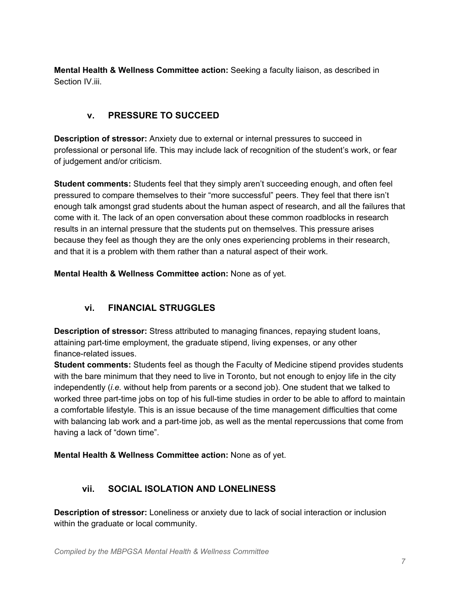**Mental Health & Wellness Committee action:** Seeking a faculty liaison, as described in Section IV.iii.

### **v. PRESSURE TO SUCCEED**

**Description of stressor:** Anxiety due to external or internal pressures to succeed in professional or personal life. This may include lack of recognition of the student's work, or fear of judgement and/or criticism.

**Student comments:** Students feel that they simply aren't succeeding enough, and often feel pressured to compare themselves to their "more successful" peers. They feel that there isn't enough talk amongst grad students about the human aspect of research, and all the failures that come with it. The lack of an open conversation about these common roadblocks in research results in an internal pressure that the students put on themselves. This pressure arises because they feel as though they are the only ones experiencing problems in their research, and that it is a problem with them rather than a natural aspect of their work.

**Mental Health & Wellness Committee action:** None as of yet.

#### **vi. FINANCIAL STRUGGLES**

**Description of stressor:** Stress attributed to managing finances, repaying student loans, attaining part-time employment, the graduate stipend, living expenses, or any other finance-related issues.

**Student comments:** Students feel as though the Faculty of Medicine stipend provides students with the bare minimum that they need to live in Toronto, but not enough to enjoy life in the city independently (*i.e.* without help from parents or a second job). One student that we talked to worked three part-time jobs on top of his full-time studies in order to be able to afford to maintain a comfortable lifestyle. This is an issue because of the time management difficulties that come with balancing lab work and a part-time job, as well as the mental repercussions that come from having a lack of "down time".

**Mental Health & Wellness Committee action:** None as of yet.

#### **vii. SOCIAL ISOLATION AND LONELINESS**

**Description of stressor:** Loneliness or anxiety due to lack of social interaction or inclusion within the graduate or local community.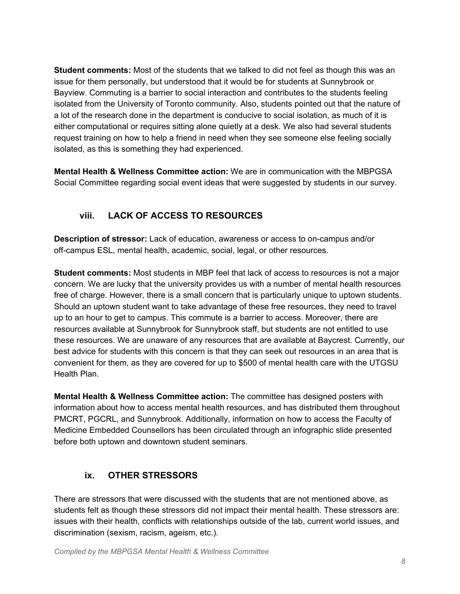**Student comments:** Most of the students that we talked to did not feel as though this was an issue for them personally, but understood that it would be for students at Sunnybrook or Bayview. Commuting is a barrier to social interaction and contributes to the students feeling isolated from the University of Toronto community. Also, students pointed out that the nature of a lot of the research done in the department is conducive to social isolation, as much of it is either computational or requires sitting alone quietly at a desk. We also had several students request training on how to help a friend in need when they see someone else feeling socially isolated, as this is something they had experienced.

**Mental Health & Wellness Committee action:** We are in communication with the MBPGSA Social Committee regarding social event ideas that were suggested by students in our survey.

## **viii. LACK OF ACCESS TO RESOURCES**

**Description of stressor:** Lack of education, awareness or access to on-campus and/or off-campus ESL, mental health, academic, social, legal, or other resources.

**Student comments:** Most students in MBP feel that lack of access to resources is not a major concern. We are lucky that the university provides us with a number of mental health resources free of charge. However, there is a small concern that is particularly unique to uptown students. Should an uptown student want to take advantage of these free resources, they need to travel up to an hour to get to campus. This commute is a barrier to access. Moreover, there are resources available at Sunnybrook for Sunnybrook staff, but students are not entitled to use these resources. We are unaware of any resources that are available at Baycrest. Currently, our best advice for students with this concern is that they can seek out resources in an area that is convenient for them, as they are covered for up to \$500 of mental health care with the UTGSU Health Plan.

**Mental Health & Wellness Committee action:** The committee has designed posters with information about how to access mental health resources, and has distributed them throughout PMCRT, PGCRL, and Sunnybrook. Additionally, information on how to access the Faculty of Medicine Embedded Counsellors has been circulated through an infographic slide presented before both uptown and downtown student seminars.

## **ix. OTHER STRESSORS**

There are stressors that were discussed with the students that are not mentioned above, as students felt as though these stressors did not impact their mental health. These stressors are: issues with their health, conflicts with relationships outside of the lab, current world issues, and discrimination (sexism, racism, ageism, etc.).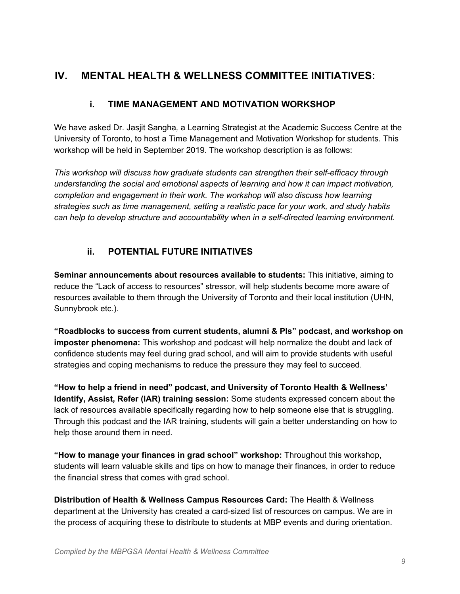## <span id="page-8-0"></span>**IV. MENTAL HEALTH & WELLNESS COMMITTEE INITIATIVES:**

#### **i. TIME MANAGEMENT AND MOTIVATION WORKSHOP**

We have asked Dr. Jasjit Sangha*,* a Learning Strategist at the Academic Success Centre at the University of Toronto, to host a Time Management and Motivation Workshop for students. This workshop will be held in September 2019. The workshop description is as follows:

*This workshop will discuss how graduate students can strengthen their self-efficacy through understanding the social and emotional aspects of learning and how it can impact motivation, completion and engagement in their work. The workshop will also discuss how learning strategies such as time management, setting a realistic pace for your work, and study habits can help to develop structure and accountability when in a self-directed learning environment.*

#### **ii. POTENTIAL FUTURE INITIATIVES**

**Seminar announcements about resources available to students:** This initiative, aiming to reduce the "Lack of access to resources" stressor, will help students become more aware of resources available to them through the University of Toronto and their local institution (UHN, Sunnybrook etc.).

**"Roadblocks to success from current students, alumni & PIs" podcast, and workshop on imposter phenomena:** This workshop and podcast will help normalize the doubt and lack of confidence students may feel during grad school, and will aim to provide students with useful strategies and coping mechanisms to reduce the pressure they may feel to succeed.

**"How to help a friend in need" podcast, and University of Toronto Health & Wellness' Identify, Assist, Refer (IAR) training session:** Some students expressed concern about the lack of resources available specifically regarding how to help someone else that is struggling. Through this podcast and the IAR training, students will gain a better understanding on how to help those around them in need.

**"How to manage your finances in grad school" workshop:** Throughout this workshop, students will learn valuable skills and tips on how to manage their finances, in order to reduce the financial stress that comes with grad school.

**Distribution of Health & Wellness Campus Resources Card:** The Health & Wellness department at the University has created a card-sized list of resources on campus. We are in the process of acquiring these to distribute to students at MBP events and during orientation.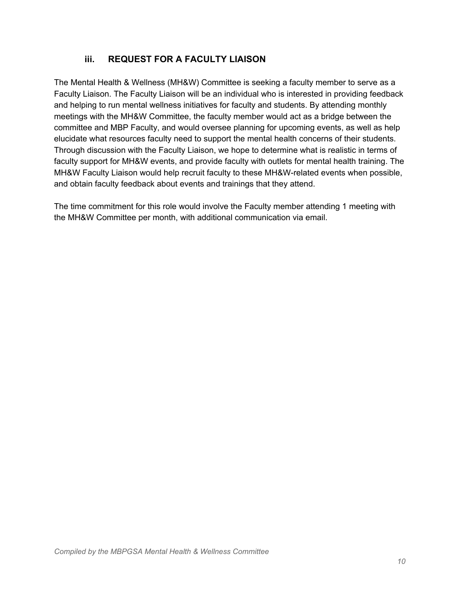#### **iii. REQUEST FOR A FACULTY LIAISON**

The Mental Health & Wellness (MH&W) Committee is seeking a faculty member to serve as a Faculty Liaison. The Faculty Liaison will be an individual who is interested in providing feedback and helping to run mental wellness initiatives for faculty and students. By attending monthly meetings with the MH&W Committee, the faculty member would act as a bridge between the committee and MBP Faculty, and would oversee planning for upcoming events, as well as help elucidate what resources faculty need to support the mental health concerns of their students. Through discussion with the Faculty Liaison, we hope to determine what is realistic in terms of faculty support for MH&W events, and provide faculty with outlets for mental health training. The MH&W Faculty Liaison would help recruit faculty to these MH&W-related events when possible, and obtain faculty feedback about events and trainings that they attend.

<span id="page-9-0"></span>The time commitment for this role would involve the Faculty member attending 1 meeting with the MH&W Committee per month, with additional communication via email.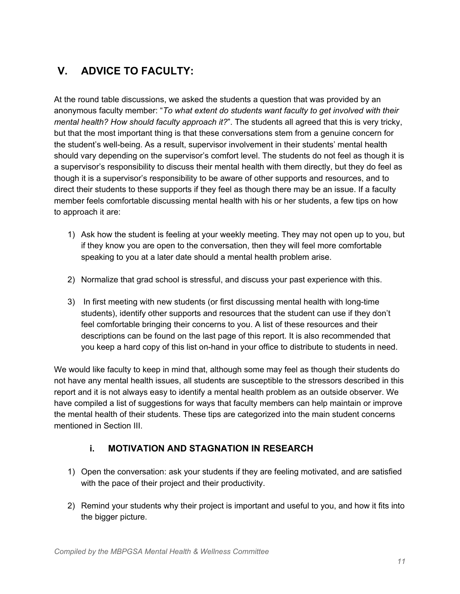## **V. ADVICE TO FACULTY:**

At the round table discussions, we asked the students a question that was provided by an anonymous faculty member: "*To what extent do students want faculty to get involved with their mental health? How should faculty approach it?*". The students all agreed that this is very tricky, but that the most important thing is that these conversations stem from a genuine concern for the student's well-being. As a result, supervisor involvement in their students' mental health should vary depending on the supervisor's comfort level. The students do not feel as though it is a supervisor's responsibility to discuss their mental health with them directly, but they do feel as though it is a supervisor's responsibility to be aware of other supports and resources, and to direct their students to these supports if they feel as though there may be an issue. If a faculty member feels comfortable discussing mental health with his or her students, a few tips on how to approach it are:

- 1) Ask how the student is feeling at your weekly meeting. They may not open up to you, but if they know you are open to the conversation, then they will feel more comfortable speaking to you at a later date should a mental health problem arise.
- 2) Normalize that grad school is stressful, and discuss your past experience with this.
- 3) In first meeting with new students (or first discussing mental health with long-time students), identify other supports and resources that the student can use if they don't feel comfortable bringing their concerns to you. A list of these resources and their descriptions can be found on the last page of this report. It is also recommended that you keep a hard copy of this list on-hand in your office to distribute to students in need.

We would like faculty to keep in mind that, although some may feel as though their students do not have any mental health issues, all students are susceptible to the stressors described in this report and it is not always easy to identify a mental health problem as an outside observer. We have compiled a list of suggestions for ways that faculty members can help maintain or improve the mental health of their students. These tips are categorized into the main student concerns mentioned in Section III.

#### **i. MOTIVATION AND STAGNATION IN RESEARCH**

- 1) Open the conversation: ask your students if they are feeling motivated, and are satisfied with the pace of their project and their productivity.
- 2) Remind your students why their project is important and useful to you, and how it fits into the bigger picture.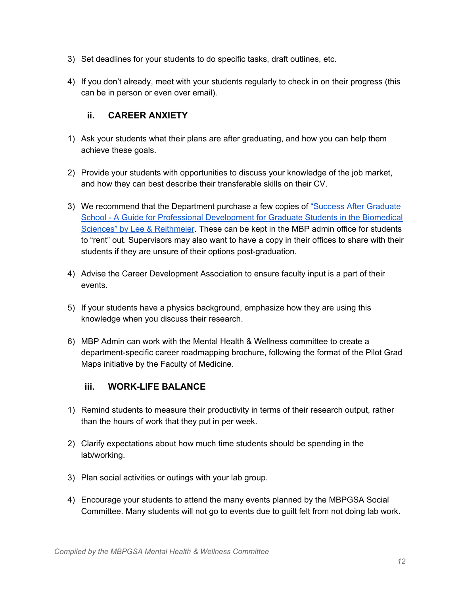- 3) Set deadlines for your students to do specific tasks, draft outlines, etc.
- 4) If you don't already, meet with your students regularly to check in on their progress (this can be in person or even over email).

#### **ii. CAREER ANXIETY**

- 1) Ask your students what their plans are after graduating, and how you can help them achieve these goals.
- 2) Provide your students with opportunities to discuss your knowledge of the job market, and how they can best describe their transferable skills on their CV.
- 3) We recommend that the Department purchase a few copies of "Success After [Graduate](https://www.glse.utoronto.ca/success-after-graduate-school-guide-professional-development-graduate-students-biomedical-sciences) School - A Guide for Professional [Development](https://www.glse.utoronto.ca/success-after-graduate-school-guide-professional-development-graduate-students-biomedical-sciences) for Graduate Students in the Biomedical Sciences" by Lee & [Reithmeier.](https://www.glse.utoronto.ca/success-after-graduate-school-guide-professional-development-graduate-students-biomedical-sciences) These can be kept in the MBP admin office for students to "rent" out. Supervisors may also want to have a copy in their offices to share with their students if they are unsure of their options post-graduation.
- 4) Advise the Career Development Association to ensure faculty input is a part of their events.
- 5) If your students have a physics background, emphasize how they are using this knowledge when you discuss their research.
- 6) MBP Admin can work with the Mental Health & Wellness committee to create a department-specific career roadmapping brochure, following the format of the Pilot Grad Maps initiative by the Faculty of Medicine.

#### **iii. WORK-LIFE BALANCE**

- 1) Remind students to measure their productivity in terms of their research output, rather than the hours of work that they put in per week.
- 2) Clarify expectations about how much time students should be spending in the lab/working.
- 3) Plan social activities or outings with your lab group.
- 4) Encourage your students to attend the many events planned by the MBPGSA Social Committee. Many students will not go to events due to guilt felt from not doing lab work.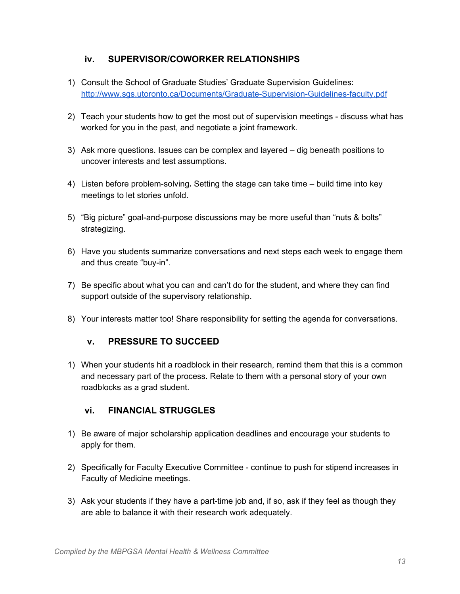#### **iv. SUPERVISOR/COWORKER RELATIONSHIPS**

- 1) Consult the School of Graduate Studies' Graduate Supervision Guidelines: <http://www.sgs.utoronto.ca/Documents/Graduate-Supervision-Guidelines-faculty.pdf>
- 2) Teach your students how to get the most out of supervision meetings discuss what has worked for you in the past, and negotiate a joint framework.
- 3) Ask more questions. Issues can be complex and layered dig beneath positions to uncover interests and test assumptions.
- 4) Listen before problem-solving**.** Setting the stage can take time build time into key meetings to let stories unfold.
- 5) "Big picture" goal-and-purpose discussions may be more useful than "nuts & bolts" strategizing.
- 6) Have you students summarize conversations and next steps each week to engage them and thus create "buy-in".
- 7) Be specific about what you can and can't do for the student, and where they can find support outside of the supervisory relationship.
- 8) Your interests matter too! Share responsibility for setting the agenda for conversations.

#### **v. PRESSURE TO SUCCEED**

1) When your students hit a roadblock in their research, remind them that this is a common and necessary part of the process. Relate to them with a personal story of your own roadblocks as a grad student.

#### **vi. FINANCIAL STRUGGLES**

- 1) Be aware of major scholarship application deadlines and encourage your students to apply for them.
- 2) Specifically for Faculty Executive Committee continue to push for stipend increases in Faculty of Medicine meetings.
- 3) Ask your students if they have a part-time job and, if so, ask if they feel as though they are able to balance it with their research work adequately.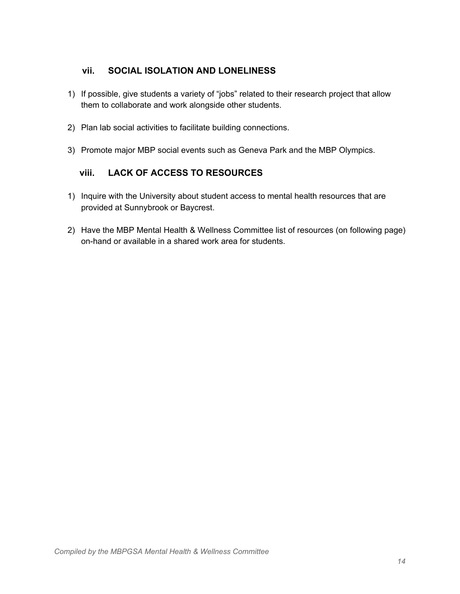#### **vii. SOCIAL ISOLATION AND LONELINESS**

- 1) If possible, give students a variety of "jobs" related to their research project that allow them to collaborate and work alongside other students.
- 2) Plan lab social activities to facilitate building connections.
- 3) Promote major MBP social events such as Geneva Park and the MBP Olympics.

#### **viii. LACK OF ACCESS TO RESOURCES**

- 1) Inquire with the University about student access to mental health resources that are provided at Sunnybrook or Baycrest.
- 2) Have the MBP Mental Health & Wellness Committee list of resources (on following page) on-hand or available in a shared work area for students.